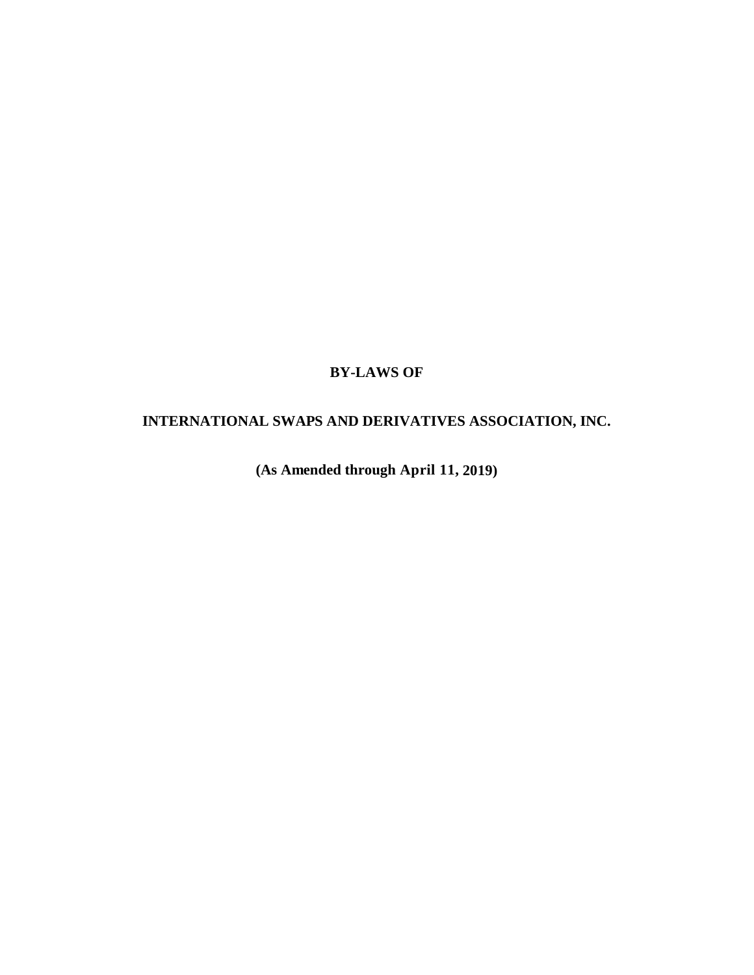# **BY-LAWS OF**

# **INTERNATIONAL SWAPS AND DERIVATIVES ASSOCIATION, INC.**

**(As Amended through April 11, 2019)**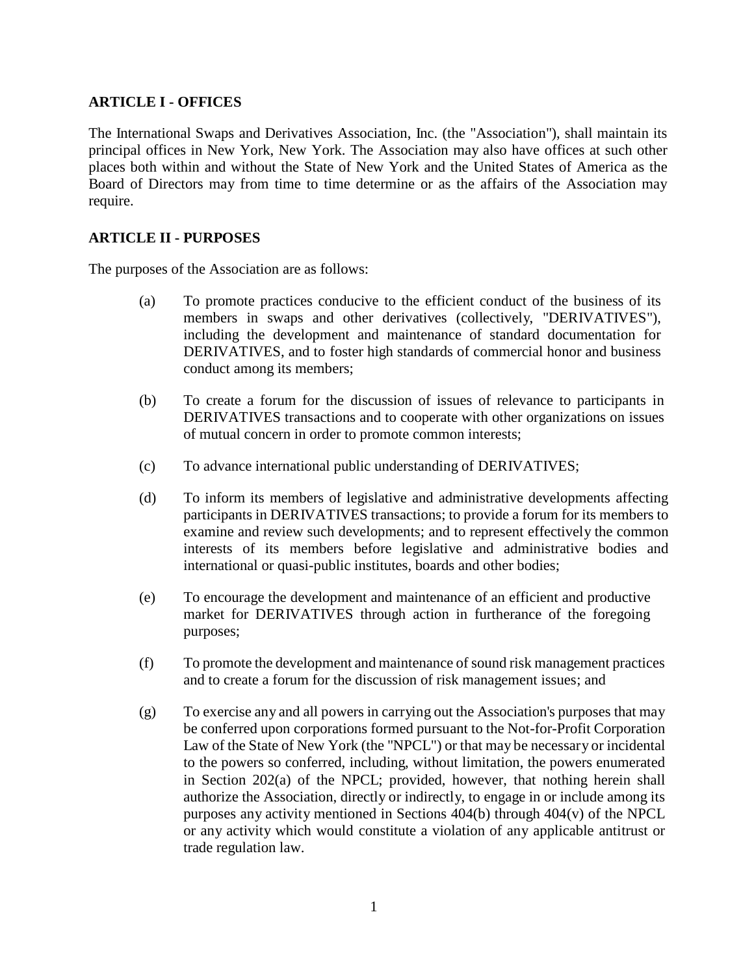### **ARTICLE I - OFFICES**

The International Swaps and Derivatives Association, Inc. (the "Association"), shall maintain its principal offices in New York, New York. The Association may also have offices at such other places both within and without the State of New York and the United States of America as the Board of Directors may from time to time determine or as the affairs of the Association may require.

### **ARTICLE II - PURPOSES**

The purposes of the Association are as follows:

- (a) To promote practices conducive to the efficient conduct of the business of its members in swaps and other derivatives (collectively, "DERIVATIVES"), including the development and maintenance of standard documentation for DERIVATIVES, and to foster high standards of commercial honor and business conduct among its members;
- (b) To create a forum for the discussion of issues of relevance to participants in DERIVATIVES transactions and to cooperate with other organizations on issues of mutual concern in order to promote common interests;
- (c) To advance international public understanding of DERIVATIVES;
- (d) To inform its members of legislative and administrative developments affecting participants in DERIVATIVES transactions; to provide a forum for its members to examine and review such developments; and to represent effectively the common interests of its members before legislative and administrative bodies and international or quasi-public institutes, boards and other bodies;
- (e) To encourage the development and maintenance of an efficient and productive market for DERIVATIVES through action in furtherance of the foregoing purposes;
- (f) To promote the development and maintenance of sound risk management practices and to create a forum for the discussion of risk management issues; and
- (g) To exercise any and all powers in carrying out the Association's purposes that may be conferred upon corporations formed pursuant to the Not-for-Profit Corporation Law of the State of New York (the "NPCL") or that may be necessary or incidental to the powers so conferred, including, without limitation, the powers enumerated in Section 202(a) of the NPCL; provided, however, that nothing herein shall authorize the Association, directly or indirectly, to engage in or include among its purposes any activity mentioned in Sections 404(b) through 404(v) of the NPCL or any activity which would constitute a violation of any applicable antitrust or trade regulation law.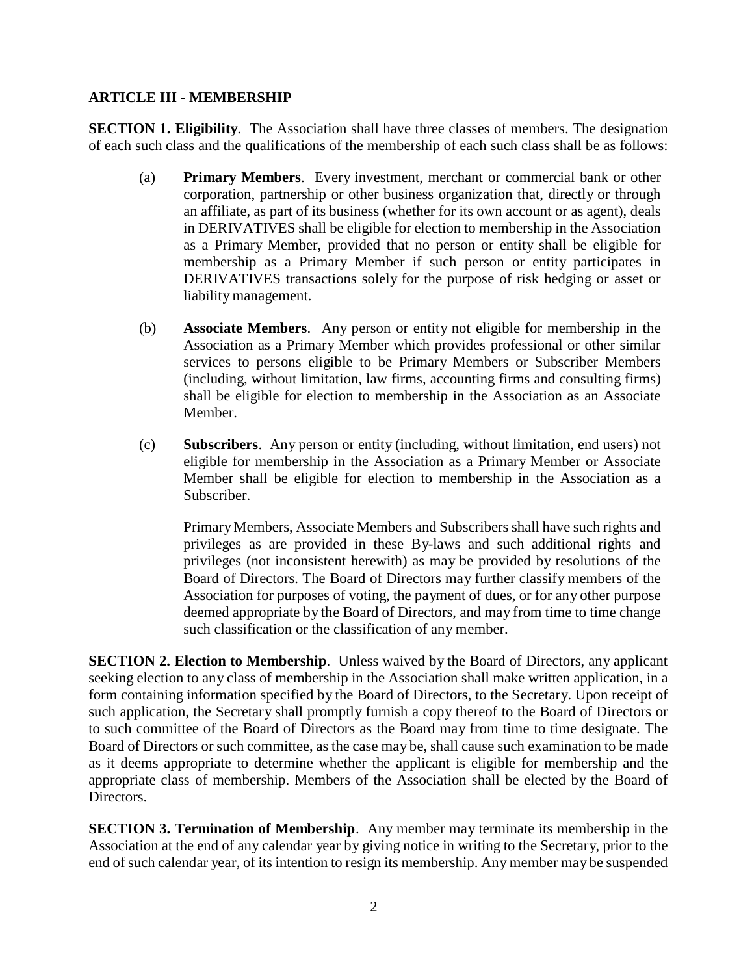### **ARTICLE III - MEMBERSHIP**

**SECTION 1. Eligibility.** The Association shall have three classes of members. The designation of each such class and the qualifications of the membership of each such class shall be as follows:

- (a) **Primary Members**. Every investment, merchant or commercial bank or other corporation, partnership or other business organization that, directly or through an affiliate, as part of its business (whether for its own account or as agent), deals in DERIVATIVES shall be eligible for election to membership in the Association as a Primary Member, provided that no person or entity shall be eligible for membership as a Primary Member if such person or entity participates in DERIVATIVES transactions solely for the purpose of risk hedging or asset or liability management.
- (b) **Associate Members**. Any person or entity not eligible for membership in the Association as a Primary Member which provides professional or other similar services to persons eligible to be Primary Members or Subscriber Members (including, without limitation, law firms, accounting firms and consulting firms) shall be eligible for election to membership in the Association as an Associate Member.
- (c) **Subscribers**. Any person or entity (including, without limitation, end users) not eligible for membership in the Association as a Primary Member or Associate Member shall be eligible for election to membership in the Association as a Subscriber.

PrimaryMembers, Associate Members and Subscribers shall have such rights and privileges as are provided in these By-laws and such additional rights and privileges (not inconsistent herewith) as may be provided by resolutions of the Board of Directors. The Board of Directors may further classify members of the Association for purposes of voting, the payment of dues, or for any other purpose deemed appropriate by the Board of Directors, and may from time to time change such classification or the classification of any member.

**SECTION 2. Election to Membership**. Unless waived by the Board of Directors, any applicant seeking election to any class of membership in the Association shall make written application, in a form containing information specified by the Board of Directors, to the Secretary. Upon receipt of such application, the Secretary shall promptly furnish a copy thereof to the Board of Directors or to such committee of the Board of Directors as the Board may from time to time designate. The Board of Directors or such committee, as the case may be, shall cause such examination to be made as it deems appropriate to determine whether the applicant is eligible for membership and the appropriate class of membership. Members of the Association shall be elected by the Board of Directors.

**SECTION 3. Termination of Membership**. Any member may terminate its membership in the Association at the end of any calendar year by giving notice in writing to the Secretary, prior to the end of such calendar year, of its intention to resign its membership. Any member may be suspended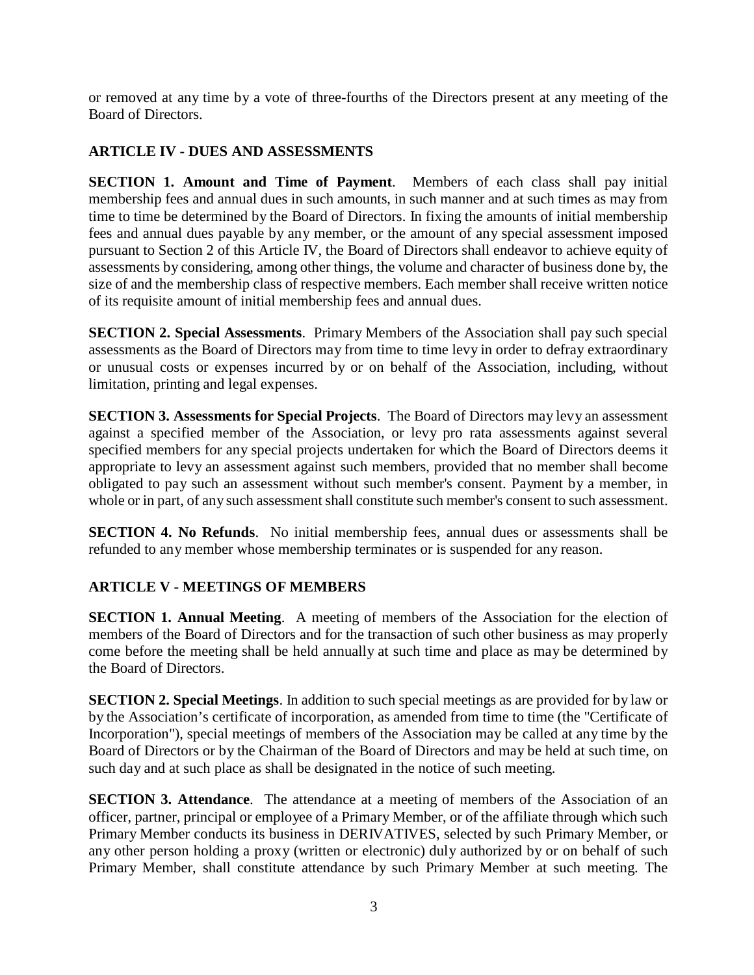or removed at any time by a vote of three-fourths of the Directors present at any meeting of the Board of Directors.

### **ARTICLE IV - DUES AND ASSESSMENTS**

**SECTION 1. Amount and Time of Payment**. Members of each class shall pay initial membership fees and annual dues in such amounts, in such manner and at such times as may from time to time be determined by the Board of Directors. In fixing the amounts of initial membership fees and annual dues payable by any member, or the amount of any special assessment imposed pursuant to Section 2 of this Article IV, the Board of Directors shall endeavor to achieve equity of assessments by considering, among other things, the volume and character of business done by, the size of and the membership class of respective members. Each member shall receive written notice of its requisite amount of initial membership fees and annual dues.

**SECTION 2. Special Assessments**. Primary Members of the Association shall pay such special assessments as the Board of Directors may from time to time levy in order to defray extraordinary or unusual costs or expenses incurred by or on behalf of the Association, including, without limitation, printing and legal expenses.

**SECTION 3. Assessments for Special Projects**. The Board of Directors may levy an assessment against a specified member of the Association, or levy pro rata assessments against several specified members for any special projects undertaken for which the Board of Directors deems it appropriate to levy an assessment against such members, provided that no member shall become obligated to pay such an assessment without such member's consent. Payment by a member, in whole or in part, of any such assessment shall constitute such member's consent to such assessment.

**SECTION 4. No Refunds**. No initial membership fees, annual dues or assessments shall be refunded to any member whose membership terminates or is suspended for any reason.

# **ARTICLE V - MEETINGS OF MEMBERS**

**SECTION 1. Annual Meeting**. A meeting of members of the Association for the election of members of the Board of Directors and for the transaction of such other business as may properly come before the meeting shall be held annually at such time and place as may be determined by the Board of Directors.

**SECTION 2. Special Meetings**. In addition to such special meetings as are provided for by law or by the Association's certificate of incorporation, as amended from time to time (the "Certificate of Incorporation"), special meetings of members of the Association may be called at any time by the Board of Directors or by the Chairman of the Board of Directors and may be held at such time, on such day and at such place as shall be designated in the notice of such meeting.

**SECTION 3. Attendance**. The attendance at a meeting of members of the Association of an officer, partner, principal or employee of a Primary Member, or of the affiliate through which such Primary Member conducts its business in DERIVATIVES, selected by such Primary Member, or any other person holding a proxy (written or electronic) duly authorized by or on behalf of such Primary Member, shall constitute attendance by such Primary Member at such meeting. The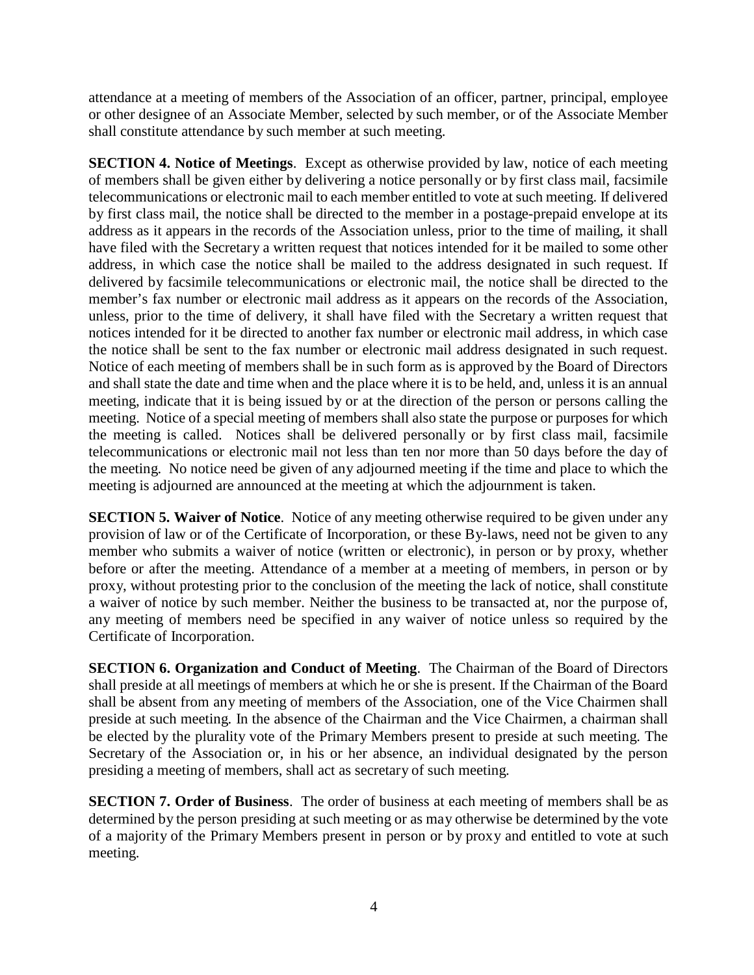attendance at a meeting of members of the Association of an officer, partner, principal, employee or other designee of an Associate Member, selected by such member, or of the Associate Member shall constitute attendance by such member at such meeting.

**SECTION 4. Notice of Meetings**. Except as otherwise provided by law, notice of each meeting of members shall be given either by delivering a notice personally or by first class mail, facsimile telecommunications or electronic mail to each member entitled to vote at such meeting. If delivered by first class mail, the notice shall be directed to the member in a postage-prepaid envelope at its address as it appears in the records of the Association unless, prior to the time of mailing, it shall have filed with the Secretary a written request that notices intended for it be mailed to some other address, in which case the notice shall be mailed to the address designated in such request. If delivered by facsimile telecommunications or electronic mail, the notice shall be directed to the member's fax number or electronic mail address as it appears on the records of the Association, unless, prior to the time of delivery, it shall have filed with the Secretary a written request that notices intended for it be directed to another fax number or electronic mail address, in which case the notice shall be sent to the fax number or electronic mail address designated in such request. Notice of each meeting of members shall be in such form as is approved by the Board of Directors and shall state the date and time when and the place where it is to be held, and, unless it is an annual meeting, indicate that it is being issued by or at the direction of the person or persons calling the meeting. Notice of a special meeting of members shall also state the purpose or purposes for which the meeting is called. Notices shall be delivered personally or by first class mail, facsimile telecommunications or electronic mail not less than ten nor more than 50 days before the day of the meeting. No notice need be given of any adjourned meeting if the time and place to which the meeting is adjourned are announced at the meeting at which the adjournment is taken.

**SECTION 5. Waiver of Notice**. Notice of any meeting otherwise required to be given under any provision of law or of the Certificate of Incorporation, or these By-laws, need not be given to any member who submits a waiver of notice (written or electronic), in person or by proxy, whether before or after the meeting. Attendance of a member at a meeting of members, in person or by proxy, without protesting prior to the conclusion of the meeting the lack of notice, shall constitute a waiver of notice by such member. Neither the business to be transacted at, nor the purpose of, any meeting of members need be specified in any waiver of notice unless so required by the Certificate of Incorporation.

**SECTION 6. Organization and Conduct of Meeting**. The Chairman of the Board of Directors shall preside at all meetings of members at which he or she is present. If the Chairman of the Board shall be absent from any meeting of members of the Association, one of the Vice Chairmen shall preside at such meeting. In the absence of the Chairman and the Vice Chairmen, a chairman shall be elected by the plurality vote of the Primary Members present to preside at such meeting. The Secretary of the Association or, in his or her absence, an individual designated by the person presiding a meeting of members, shall act as secretary of such meeting.

**SECTION 7. Order of Business**. The order of business at each meeting of members shall be as determined by the person presiding at such meeting or as may otherwise be determined by the vote of a majority of the Primary Members present in person or by proxy and entitled to vote at such meeting.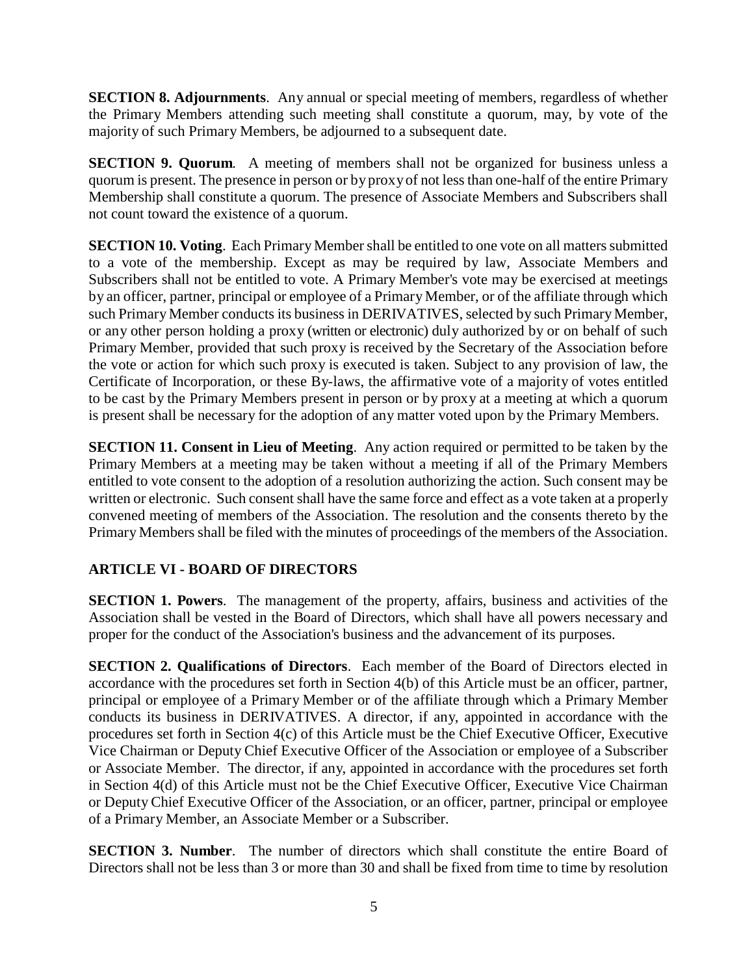**SECTION 8. Adjournments**. Any annual or special meeting of members, regardless of whether the Primary Members attending such meeting shall constitute a quorum, may, by vote of the majority of such Primary Members, be adjourned to a subsequent date.

**SECTION 9. Quorum**. A meeting of members shall not be organized for business unless a quorum is present. The presence in person or by proxyof not less than one-half of the entire Primary Membership shall constitute a quorum. The presence of Associate Members and Subscribers shall not count toward the existence of a quorum.

**SECTION 10. Voting**. Each Primary Member shall be entitled to one vote on all matters submitted to a vote of the membership. Except as may be required by law, Associate Members and Subscribers shall not be entitled to vote. A Primary Member's vote may be exercised at meetings by an officer, partner, principal or employee of a Primary Member, or of the affiliate through which such Primary Member conducts its business in DERIVATIVES, selected by such Primary Member, or any other person holding a proxy (written or electronic) duly authorized by or on behalf of such Primary Member, provided that such proxy is received by the Secretary of the Association before the vote or action for which such proxy is executed is taken. Subject to any provision of law, the Certificate of Incorporation, or these By-laws, the affirmative vote of a majority of votes entitled to be cast by the Primary Members present in person or by proxy at a meeting at which a quorum is present shall be necessary for the adoption of any matter voted upon by the Primary Members.

**SECTION 11. Consent in Lieu of Meeting**. Any action required or permitted to be taken by the Primary Members at a meeting may be taken without a meeting if all of the Primary Members entitled to vote consent to the adoption of a resolution authorizing the action. Such consent may be written or electronic. Such consent shall have the same force and effect as a vote taken at a properly convened meeting of members of the Association. The resolution and the consents thereto by the Primary Members shall be filed with the minutes of proceedings of the members of the Association.

# **ARTICLE VI - BOARD OF DIRECTORS**

**SECTION 1. Powers**. The management of the property, affairs, business and activities of the Association shall be vested in the Board of Directors, which shall have all powers necessary and proper for the conduct of the Association's business and the advancement of its purposes.

**SECTION 2. Qualifications of Directors**. Each member of the Board of Directors elected in accordance with the procedures set forth in Section 4(b) of this Article must be an officer, partner, principal or employee of a Primary Member or of the affiliate through which a Primary Member conducts its business in DERIVATIVES. A director, if any, appointed in accordance with the procedures set forth in Section 4(c) of this Article must be the Chief Executive Officer, Executive Vice Chairman or Deputy Chief Executive Officer of the Association or employee of a Subscriber or Associate Member. The director, if any, appointed in accordance with the procedures set forth in Section 4(d) of this Article must not be the Chief Executive Officer, Executive Vice Chairman or Deputy Chief Executive Officer of the Association, or an officer, partner, principal or employee of a Primary Member, an Associate Member or a Subscriber.

**SECTION 3. Number**. The number of directors which shall constitute the entire Board of Directors shall not be less than 3 or more than 30 and shall be fixed from time to time by resolution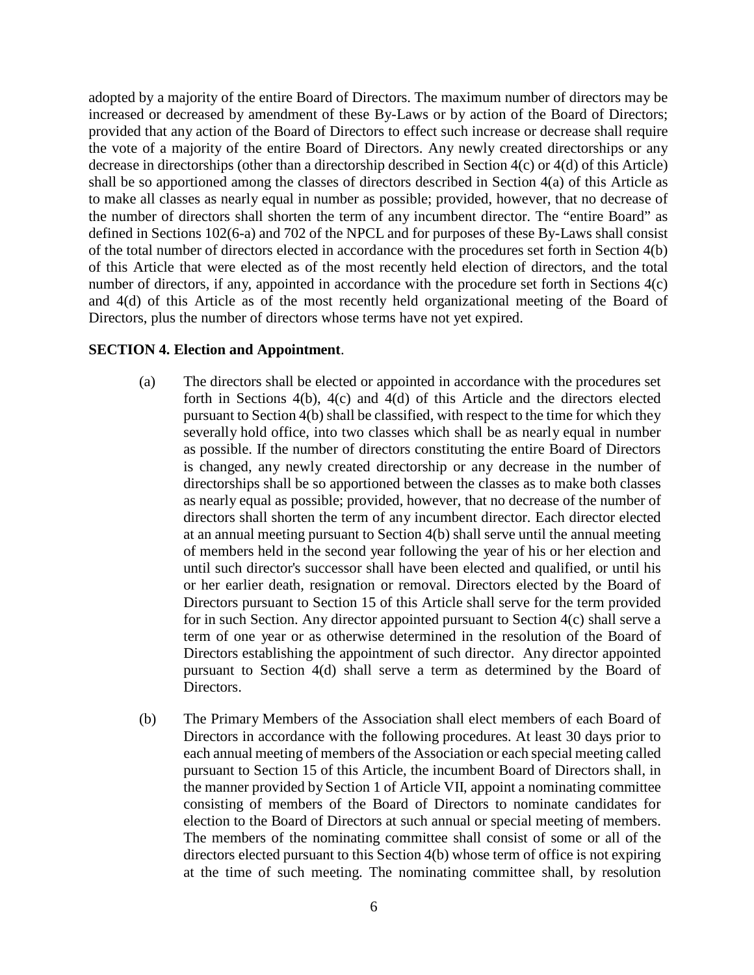adopted by a majority of the entire Board of Directors. The maximum number of directors may be increased or decreased by amendment of these By-Laws or by action of the Board of Directors; provided that any action of the Board of Directors to effect such increase or decrease shall require the vote of a majority of the entire Board of Directors. Any newly created directorships or any decrease in directorships (other than a directorship described in Section 4(c) or 4(d) of this Article) shall be so apportioned among the classes of directors described in Section 4(a) of this Article as to make all classes as nearly equal in number as possible; provided, however, that no decrease of the number of directors shall shorten the term of any incumbent director. The "entire Board" as defined in Sections 102(6-a) and 702 of the NPCL and for purposes of these By-Laws shall consist of the total number of directors elected in accordance with the procedures set forth in Section 4(b) of this Article that were elected as of the most recently held election of directors, and the total number of directors, if any, appointed in accordance with the procedure set forth in Sections 4(c) and 4(d) of this Article as of the most recently held organizational meeting of the Board of Directors, plus the number of directors whose terms have not yet expired.

#### **SECTION 4. Election and Appointment**.

- (a) The directors shall be elected or appointed in accordance with the procedures set forth in Sections 4(b), 4(c) and 4(d) of this Article and the directors elected pursuant to Section 4(b) shall be classified, with respect to the time for which they severally hold office, into two classes which shall be as nearly equal in number as possible. If the number of directors constituting the entire Board of Directors is changed, any newly created directorship or any decrease in the number of directorships shall be so apportioned between the classes as to make both classes as nearly equal as possible; provided, however, that no decrease of the number of directors shall shorten the term of any incumbent director. Each director elected at an annual meeting pursuant to Section 4(b) shall serve until the annual meeting of members held in the second year following the year of his or her election and until such director's successor shall have been elected and qualified, or until his or her earlier death, resignation or removal. Directors elected by the Board of Directors pursuant to Section 15 of this Article shall serve for the term provided for in such Section. Any director appointed pursuant to Section 4(c) shall serve a term of one year or as otherwise determined in the resolution of the Board of Directors establishing the appointment of such director. Any director appointed pursuant to Section 4(d) shall serve a term as determined by the Board of Directors.
- (b) The Primary Members of the Association shall elect members of each Board of Directors in accordance with the following procedures. At least 30 days prior to each annual meeting of members of the Association or each special meeting called pursuant to Section 15 of this Article, the incumbent Board of Directors shall, in the manner provided by Section 1 of Article VII, appoint a nominating committee consisting of members of the Board of Directors to nominate candidates for election to the Board of Directors at such annual or special meeting of members. The members of the nominating committee shall consist of some or all of the directors elected pursuant to this Section 4(b) whose term of office is not expiring at the time of such meeting. The nominating committee shall, by resolution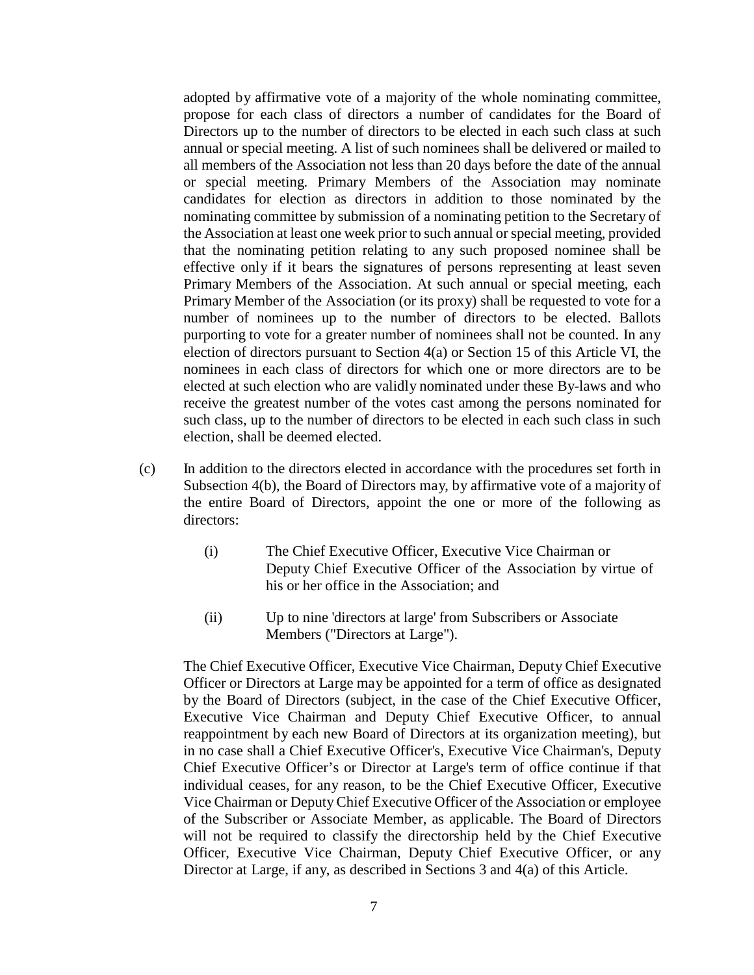adopted by affirmative vote of a majority of the whole nominating committee, propose for each class of directors a number of candidates for the Board of Directors up to the number of directors to be elected in each such class at such annual or special meeting. A list of such nominees shall be delivered or mailed to all members of the Association not less than 20 days before the date of the annual or special meeting. Primary Members of the Association may nominate candidates for election as directors in addition to those nominated by the nominating committee by submission of a nominating petition to the Secretary of the Association at least one week prior to such annual or special meeting, provided that the nominating petition relating to any such proposed nominee shall be effective only if it bears the signatures of persons representing at least seven Primary Members of the Association. At such annual or special meeting, each Primary Member of the Association (or its proxy) shall be requested to vote for a number of nominees up to the number of directors to be elected. Ballots purporting to vote for a greater number of nominees shall not be counted. In any election of directors pursuant to Section 4(a) or Section 15 of this Article VI, the nominees in each class of directors for which one or more directors are to be elected at such election who are validly nominated under these By-laws and who receive the greatest number of the votes cast among the persons nominated for such class, up to the number of directors to be elected in each such class in such election, shall be deemed elected.

- (c) In addition to the directors elected in accordance with the procedures set forth in Subsection 4(b), the Board of Directors may, by affirmative vote of a majority of the entire Board of Directors, appoint the one or more of the following as directors:
	- (i) The Chief Executive Officer, Executive Vice Chairman or Deputy Chief Executive Officer of the Association by virtue of his or her office in the Association; and
	- (ii) Up to nine 'directors at large' from Subscribers or Associate Members ("Directors at Large").

The Chief Executive Officer, Executive Vice Chairman, Deputy Chief Executive Officer or Directors at Large may be appointed for a term of office as designated by the Board of Directors (subject, in the case of the Chief Executive Officer, Executive Vice Chairman and Deputy Chief Executive Officer, to annual reappointment by each new Board of Directors at its organization meeting), but in no case shall a Chief Executive Officer's, Executive Vice Chairman's, Deputy Chief Executive Officer's or Director at Large's term of office continue if that individual ceases, for any reason, to be the Chief Executive Officer, Executive Vice Chairman or DeputyChief Executive Officer of the Association or employee of the Subscriber or Associate Member, as applicable. The Board of Directors will not be required to classify the directorship held by the Chief Executive Officer, Executive Vice Chairman, Deputy Chief Executive Officer, or any Director at Large, if any, as described in Sections 3 and 4(a) of this Article.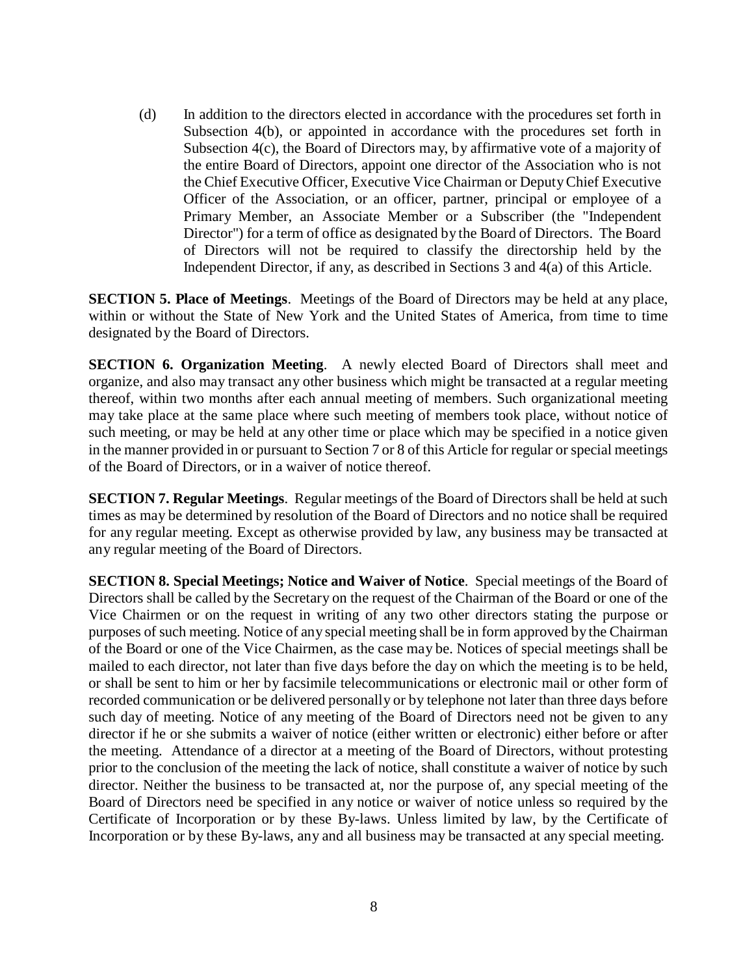(d) In addition to the directors elected in accordance with the procedures set forth in Subsection 4(b), or appointed in accordance with the procedures set forth in Subsection 4(c), the Board of Directors may, by affirmative vote of a majority of the entire Board of Directors, appoint one director of the Association who is not the Chief Executive Officer, Executive Vice Chairman or DeputyChief Executive Officer of the Association, or an officer, partner, principal or employee of a Primary Member, an Associate Member or a Subscriber (the "Independent Director") for a term of office as designated by the Board of Directors. The Board of Directors will not be required to classify the directorship held by the Independent Director, if any, as described in Sections 3 and 4(a) of this Article.

**SECTION 5. Place of Meetings**. Meetings of the Board of Directors may be held at any place, within or without the State of New York and the United States of America, from time to time designated by the Board of Directors.

**SECTION 6. Organization Meeting**. A newly elected Board of Directors shall meet and organize, and also may transact any other business which might be transacted at a regular meeting thereof, within two months after each annual meeting of members. Such organizational meeting may take place at the same place where such meeting of members took place, without notice of such meeting, or may be held at any other time or place which may be specified in a notice given in the manner provided in or pursuant to Section 7 or 8 of this Article for regular or special meetings of the Board of Directors, or in a waiver of notice thereof.

**SECTION 7. Regular Meetings**. Regular meetings of the Board of Directors shall be held at such times as may be determined by resolution of the Board of Directors and no notice shall be required for any regular meeting. Except as otherwise provided by law, any business may be transacted at any regular meeting of the Board of Directors.

**SECTION 8. Special Meetings; Notice and Waiver of Notice**. Special meetings of the Board of Directors shall be called by the Secretary on the request of the Chairman of the Board or one of the Vice Chairmen or on the request in writing of any two other directors stating the purpose or purposes of such meeting. Notice of any special meeting shall be in form approved by the Chairman of the Board or one of the Vice Chairmen, as the case may be. Notices of special meetings shall be mailed to each director, not later than five days before the day on which the meeting is to be held, or shall be sent to him or her by facsimile telecommunications or electronic mail or other form of recorded communication or be delivered personally or by telephone not later than three days before such day of meeting. Notice of any meeting of the Board of Directors need not be given to any director if he or she submits a waiver of notice (either written or electronic) either before or after the meeting. Attendance of a director at a meeting of the Board of Directors, without protesting prior to the conclusion of the meeting the lack of notice, shall constitute a waiver of notice by such director. Neither the business to be transacted at, nor the purpose of, any special meeting of the Board of Directors need be specified in any notice or waiver of notice unless so required by the Certificate of Incorporation or by these By-laws. Unless limited by law, by the Certificate of Incorporation or by these By-laws, any and all business may be transacted at any special meeting.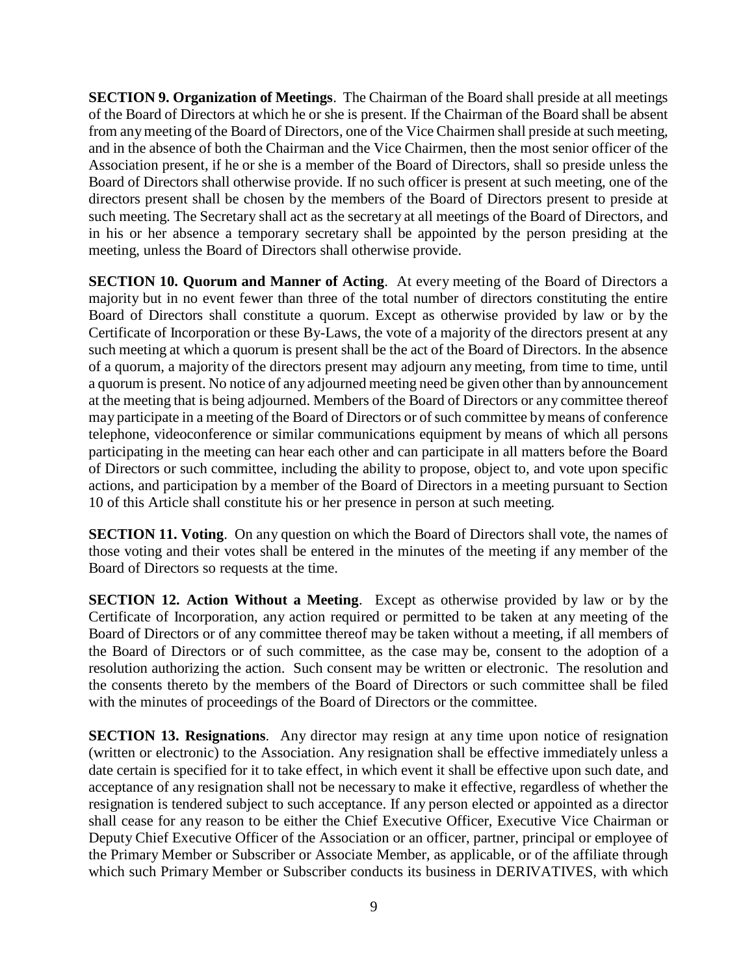**SECTION 9. Organization of Meetings**. The Chairman of the Board shall preside at all meetings of the Board of Directors at which he or she is present. If the Chairman of the Board shall be absent from anymeeting of the Board of Directors, one of the Vice Chairmen shall preside at such meeting, and in the absence of both the Chairman and the Vice Chairmen, then the most senior officer of the Association present, if he or she is a member of the Board of Directors, shall so preside unless the Board of Directors shall otherwise provide. If no such officer is present at such meeting, one of the directors present shall be chosen by the members of the Board of Directors present to preside at such meeting. The Secretary shall act as the secretary at all meetings of the Board of Directors, and in his or her absence a temporary secretary shall be appointed by the person presiding at the meeting, unless the Board of Directors shall otherwise provide.

**SECTION 10. Quorum and Manner of Acting**. At every meeting of the Board of Directors a majority but in no event fewer than three of the total number of directors constituting the entire Board of Directors shall constitute a quorum. Except as otherwise provided by law or by the Certificate of Incorporation or these By-Laws, the vote of a majority of the directors present at any such meeting at which a quorum is present shall be the act of the Board of Directors. In the absence of a quorum, a majority of the directors present may adjourn any meeting, from time to time, until a quorum is present. No notice of any adjourned meeting need be given other than by announcement at the meeting that is being adjourned. Members of the Board of Directors or any committee thereof may participate in a meeting of the Board of Directors or of such committee by means of conference telephone, videoconference or similar communications equipment by means of which all persons participating in the meeting can hear each other and can participate in all matters before the Board of Directors or such committee, including the ability to propose, object to, and vote upon specific actions, and participation by a member of the Board of Directors in a meeting pursuant to Section 10 of this Article shall constitute his or her presence in person at such meeting.

**SECTION 11. Voting**. On any question on which the Board of Directors shall vote, the names of those voting and their votes shall be entered in the minutes of the meeting if any member of the Board of Directors so requests at the time.

**SECTION 12. Action Without a Meeting**. Except as otherwise provided by law or by the Certificate of Incorporation, any action required or permitted to be taken at any meeting of the Board of Directors or of any committee thereof may be taken without a meeting, if all members of the Board of Directors or of such committee, as the case may be, consent to the adoption of a resolution authorizing the action. Such consent may be written or electronic. The resolution and the consents thereto by the members of the Board of Directors or such committee shall be filed with the minutes of proceedings of the Board of Directors or the committee.

**SECTION 13. Resignations**. Any director may resign at any time upon notice of resignation (written or electronic) to the Association. Any resignation shall be effective immediately unless a date certain is specified for it to take effect, in which event it shall be effective upon such date, and acceptance of any resignation shall not be necessary to make it effective, regardless of whether the resignation is tendered subject to such acceptance. If any person elected or appointed as a director shall cease for any reason to be either the Chief Executive Officer, Executive Vice Chairman or Deputy Chief Executive Officer of the Association or an officer, partner, principal or employee of the Primary Member or Subscriber or Associate Member, as applicable, or of the affiliate through which such Primary Member or Subscriber conducts its business in DERIVATIVES, with which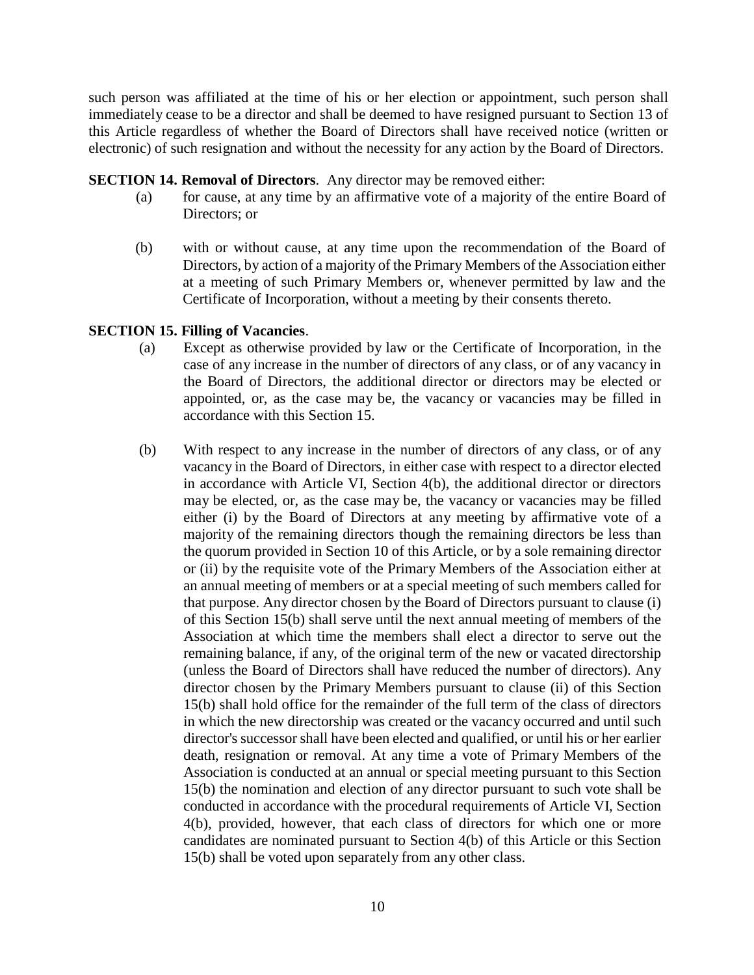such person was affiliated at the time of his or her election or appointment, such person shall immediately cease to be a director and shall be deemed to have resigned pursuant to Section 13 of this Article regardless of whether the Board of Directors shall have received notice (written or electronic) of such resignation and without the necessity for any action by the Board of Directors.

#### **SECTION 14. Removal of Directors**. Any director may be removed either:

- (a) for cause, at any time by an affirmative vote of a majority of the entire Board of Directors; or
- (b) with or without cause, at any time upon the recommendation of the Board of Directors, by action of a majority of the Primary Members of the Association either at a meeting of such Primary Members or, whenever permitted by law and the Certificate of Incorporation, without a meeting by their consents thereto.

### **SECTION 15. Filling of Vacancies**.

- (a) Except as otherwise provided by law or the Certificate of Incorporation, in the case of any increase in the number of directors of any class, or of any vacancy in the Board of Directors, the additional director or directors may be elected or appointed, or, as the case may be, the vacancy or vacancies may be filled in accordance with this Section 15.
- (b) With respect to any increase in the number of directors of any class, or of any vacancy in the Board of Directors, in either case with respect to a director elected in accordance with Article VI, Section 4(b), the additional director or directors may be elected, or, as the case may be, the vacancy or vacancies may be filled either (i) by the Board of Directors at any meeting by affirmative vote of a majority of the remaining directors though the remaining directors be less than the quorum provided in Section 10 of this Article, or by a sole remaining director or (ii) by the requisite vote of the Primary Members of the Association either at an annual meeting of members or at a special meeting of such members called for that purpose. Any director chosen by the Board of Directors pursuant to clause (i) of this Section 15(b) shall serve until the next annual meeting of members of the Association at which time the members shall elect a director to serve out the remaining balance, if any, of the original term of the new or vacated directorship (unless the Board of Directors shall have reduced the number of directors). Any director chosen by the Primary Members pursuant to clause (ii) of this Section 15(b) shall hold office for the remainder of the full term of the class of directors in which the new directorship was created or the vacancy occurred and until such director's successor shall have been elected and qualified, or until his or her earlier death, resignation or removal. At any time a vote of Primary Members of the Association is conducted at an annual or special meeting pursuant to this Section 15(b) the nomination and election of any director pursuant to such vote shall be conducted in accordance with the procedural requirements of Article VI, Section 4(b), provided, however, that each class of directors for which one or more candidates are nominated pursuant to Section 4(b) of this Article or this Section 15(b) shall be voted upon separately from any other class.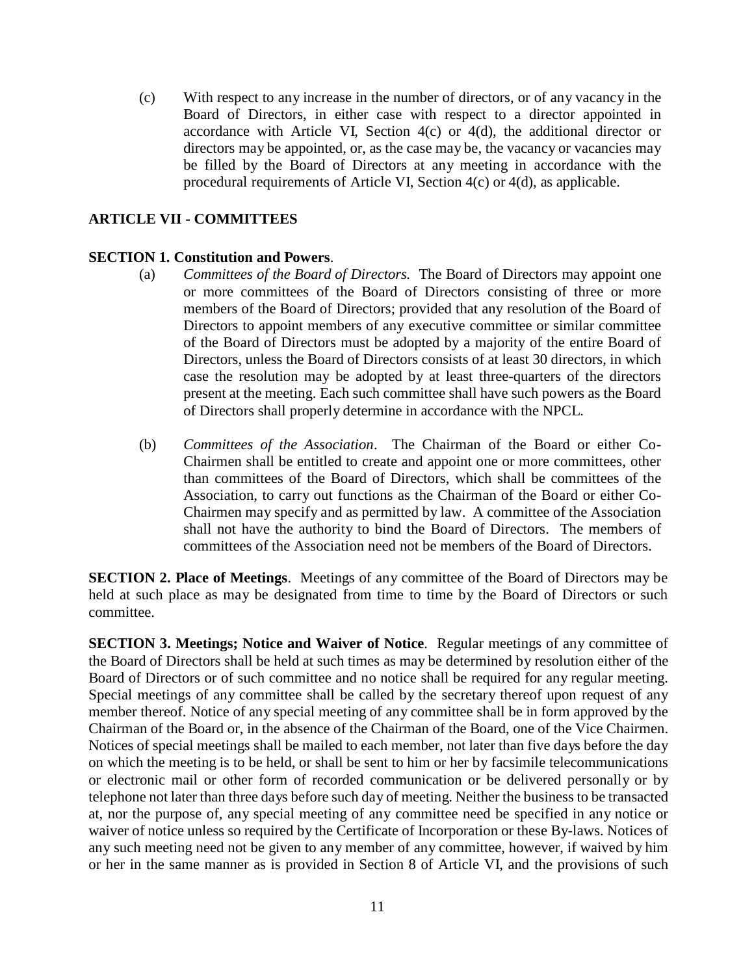(c) With respect to any increase in the number of directors, or of any vacancy in the Board of Directors, in either case with respect to a director appointed in accordance with Article VI, Section  $4(c)$  or  $4(d)$ , the additional director or directors may be appointed, or, as the case may be, the vacancy or vacancies may be filled by the Board of Directors at any meeting in accordance with the procedural requirements of Article VI, Section 4(c) or 4(d), as applicable.

### **ARTICLE VII - COMMITTEES**

### **SECTION 1. Constitution and Powers**.

- (a) *Committees of the Board of Directors.* The Board of Directors may appoint one or more committees of the Board of Directors consisting of three or more members of the Board of Directors; provided that any resolution of the Board of Directors to appoint members of any executive committee or similar committee of the Board of Directors must be adopted by a majority of the entire Board of Directors, unless the Board of Directors consists of at least 30 directors, in which case the resolution may be adopted by at least three-quarters of the directors present at the meeting. Each such committee shall have such powers as the Board of Directors shall properly determine in accordance with the NPCL.
- (b) *Committees of the Association*. The Chairman of the Board or either Co-Chairmen shall be entitled to create and appoint one or more committees, other than committees of the Board of Directors, which shall be committees of the Association, to carry out functions as the Chairman of the Board or either Co-Chairmen may specify and as permitted by law. A committee of the Association shall not have the authority to bind the Board of Directors. The members of committees of the Association need not be members of the Board of Directors.

**SECTION 2. Place of Meetings**. Meetings of any committee of the Board of Directors may be held at such place as may be designated from time to time by the Board of Directors or such committee.

**SECTION 3. Meetings; Notice and Waiver of Notice**. Regular meetings of any committee of the Board of Directors shall be held at such times as may be determined by resolution either of the Board of Directors or of such committee and no notice shall be required for any regular meeting. Special meetings of any committee shall be called by the secretary thereof upon request of any member thereof. Notice of any special meeting of any committee shall be in form approved by the Chairman of the Board or, in the absence of the Chairman of the Board, one of the Vice Chairmen. Notices of special meetings shall be mailed to each member, not later than five days before the day on which the meeting is to be held, or shall be sent to him or her by facsimile telecommunications or electronic mail or other form of recorded communication or be delivered personally or by telephone not later than three days before such day of meeting. Neither the business to be transacted at, nor the purpose of, any special meeting of any committee need be specified in any notice or waiver of notice unless so required by the Certificate of Incorporation or these By-laws. Notices of any such meeting need not be given to any member of any committee, however, if waived by him or her in the same manner as is provided in Section 8 of Article VI, and the provisions of such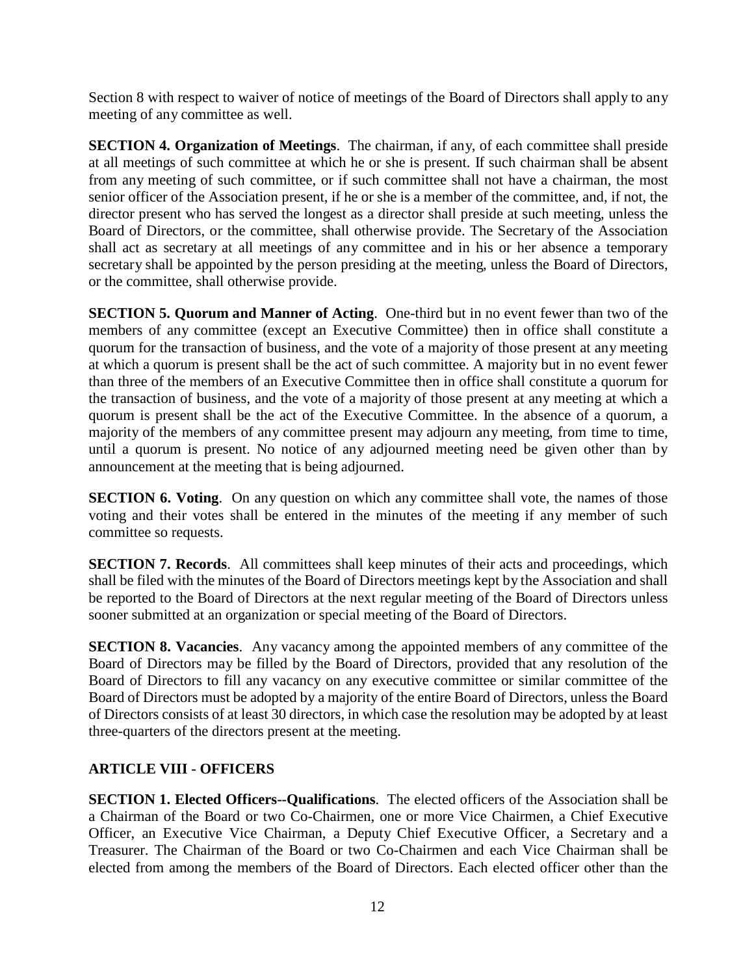Section 8 with respect to waiver of notice of meetings of the Board of Directors shall apply to any meeting of any committee as well.

**SECTION 4. Organization of Meetings**. The chairman, if any, of each committee shall preside at all meetings of such committee at which he or she is present. If such chairman shall be absent from any meeting of such committee, or if such committee shall not have a chairman, the most senior officer of the Association present, if he or she is a member of the committee, and, if not, the director present who has served the longest as a director shall preside at such meeting, unless the Board of Directors, or the committee, shall otherwise provide. The Secretary of the Association shall act as secretary at all meetings of any committee and in his or her absence a temporary secretary shall be appointed by the person presiding at the meeting, unless the Board of Directors, or the committee, shall otherwise provide.

**SECTION 5. Quorum and Manner of Acting**. One-third but in no event fewer than two of the members of any committee (except an Executive Committee) then in office shall constitute a quorum for the transaction of business, and the vote of a majority of those present at any meeting at which a quorum is present shall be the act of such committee. A majority but in no event fewer than three of the members of an Executive Committee then in office shall constitute a quorum for the transaction of business, and the vote of a majority of those present at any meeting at which a quorum is present shall be the act of the Executive Committee. In the absence of a quorum, a majority of the members of any committee present may adjourn any meeting, from time to time, until a quorum is present. No notice of any adjourned meeting need be given other than by announcement at the meeting that is being adjourned.

**SECTION 6. Voting.** On any question on which any committee shall vote, the names of those voting and their votes shall be entered in the minutes of the meeting if any member of such committee so requests.

**SECTION 7. Records**. All committees shall keep minutes of their acts and proceedings, which shall be filed with the minutes of the Board of Directors meetings kept by the Association and shall be reported to the Board of Directors at the next regular meeting of the Board of Directors unless sooner submitted at an organization or special meeting of the Board of Directors.

**SECTION 8. Vacancies**. Any vacancy among the appointed members of any committee of the Board of Directors may be filled by the Board of Directors, provided that any resolution of the Board of Directors to fill any vacancy on any executive committee or similar committee of the Board of Directors must be adopted by a majority of the entire Board of Directors, unless the Board of Directors consists of at least 30 directors, in which case the resolution may be adopted by at least three-quarters of the directors present at the meeting.

# **ARTICLE VIII - OFFICERS**

**SECTION 1. Elected Officers--Qualifications**. The elected officers of the Association shall be a Chairman of the Board or two Co-Chairmen, one or more Vice Chairmen, a Chief Executive Officer, an Executive Vice Chairman, a Deputy Chief Executive Officer, a Secretary and a Treasurer. The Chairman of the Board or two Co-Chairmen and each Vice Chairman shall be elected from among the members of the Board of Directors. Each elected officer other than the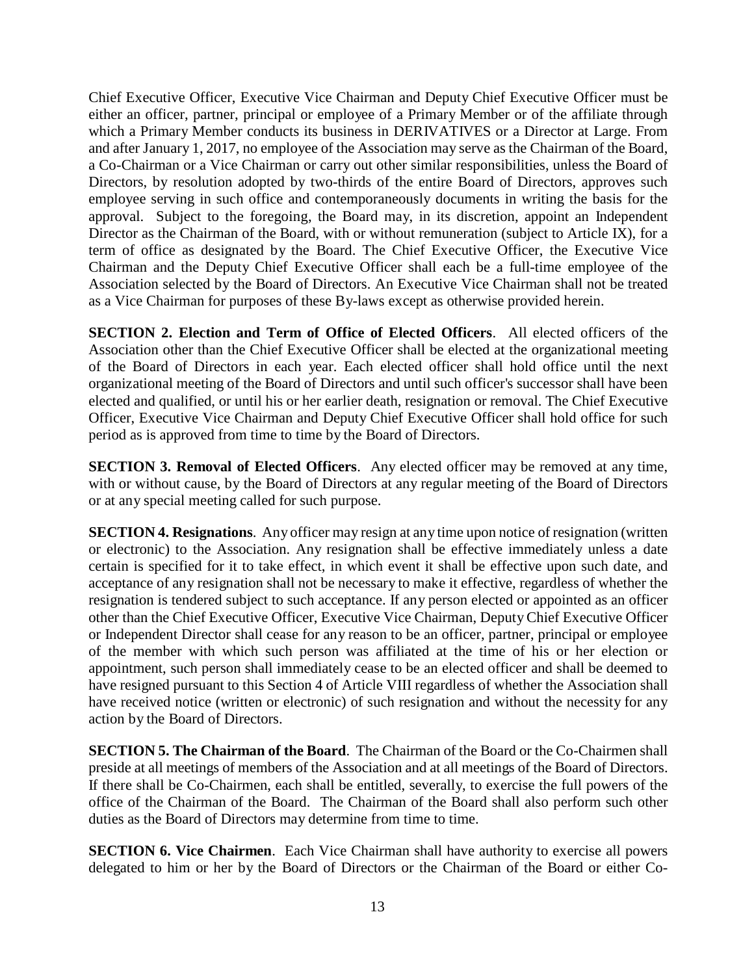Chief Executive Officer, Executive Vice Chairman and Deputy Chief Executive Officer must be either an officer, partner, principal or employee of a Primary Member or of the affiliate through which a Primary Member conducts its business in DERIVATIVES or a Director at Large. From and after January 1, 2017, no employee of the Association may serve as the Chairman of the Board, a Co-Chairman or a Vice Chairman or carry out other similar responsibilities, unless the Board of Directors, by resolution adopted by two-thirds of the entire Board of Directors, approves such employee serving in such office and contemporaneously documents in writing the basis for the approval. Subject to the foregoing, the Board may, in its discretion, appoint an Independent Director as the Chairman of the Board, with or without remuneration (subject to Article IX), for a term of office as designated by the Board. The Chief Executive Officer, the Executive Vice Chairman and the Deputy Chief Executive Officer shall each be a full-time employee of the Association selected by the Board of Directors. An Executive Vice Chairman shall not be treated as a Vice Chairman for purposes of these By-laws except as otherwise provided herein.

**SECTION 2. Election and Term of Office of Elected Officers**. All elected officers of the Association other than the Chief Executive Officer shall be elected at the organizational meeting of the Board of Directors in each year. Each elected officer shall hold office until the next organizational meeting of the Board of Directors and until such officer's successor shall have been elected and qualified, or until his or her earlier death, resignation or removal. The Chief Executive Officer, Executive Vice Chairman and Deputy Chief Executive Officer shall hold office for such period as is approved from time to time by the Board of Directors.

**SECTION 3. Removal of Elected Officers**. Any elected officer may be removed at any time, with or without cause, by the Board of Directors at any regular meeting of the Board of Directors or at any special meeting called for such purpose.

**SECTION 4. Resignations**. Any officer may resign at any time upon notice of resignation (written or electronic) to the Association. Any resignation shall be effective immediately unless a date certain is specified for it to take effect, in which event it shall be effective upon such date, and acceptance of any resignation shall not be necessary to make it effective, regardless of whether the resignation is tendered subject to such acceptance. If any person elected or appointed as an officer other than the Chief Executive Officer, Executive Vice Chairman, Deputy Chief Executive Officer or Independent Director shall cease for any reason to be an officer, partner, principal or employee of the member with which such person was affiliated at the time of his or her election or appointment, such person shall immediately cease to be an elected officer and shall be deemed to have resigned pursuant to this Section 4 of Article VIII regardless of whether the Association shall have received notice (written or electronic) of such resignation and without the necessity for any action by the Board of Directors.

**SECTION 5. The Chairman of the Board**. The Chairman of the Board or the Co-Chairmen shall preside at all meetings of members of the Association and at all meetings of the Board of Directors. If there shall be Co-Chairmen, each shall be entitled, severally, to exercise the full powers of the office of the Chairman of the Board. The Chairman of the Board shall also perform such other duties as the Board of Directors may determine from time to time.

**SECTION 6. Vice Chairmen**. Each Vice Chairman shall have authority to exercise all powers delegated to him or her by the Board of Directors or the Chairman of the Board or either Co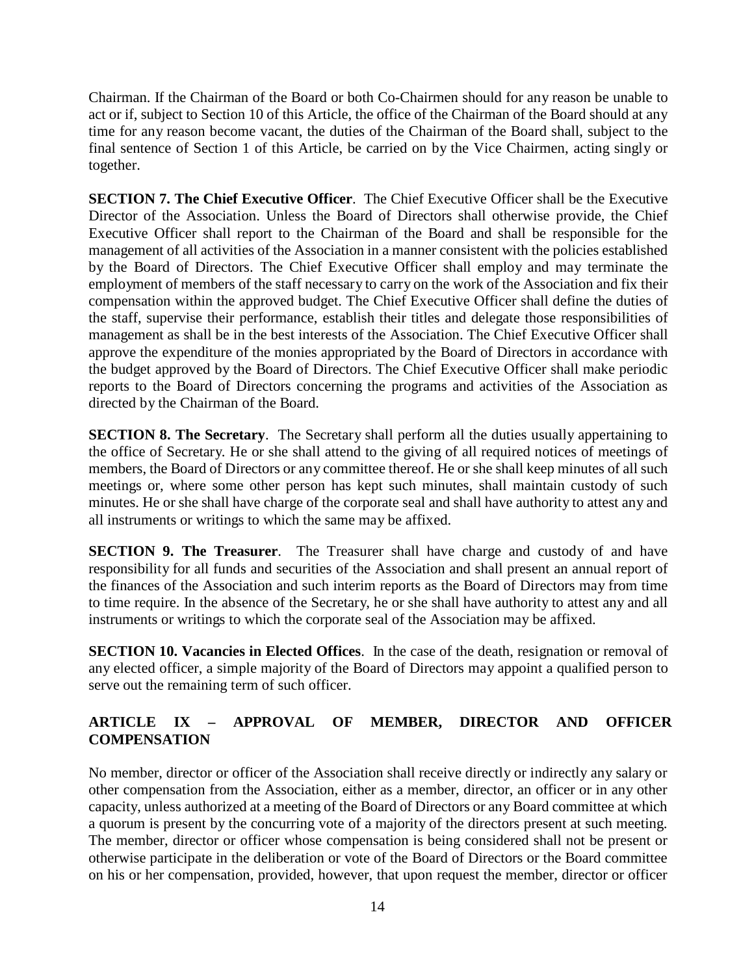Chairman. If the Chairman of the Board or both Co-Chairmen should for any reason be unable to act or if, subject to Section 10 of this Article, the office of the Chairman of the Board should at any time for any reason become vacant, the duties of the Chairman of the Board shall, subject to the final sentence of Section 1 of this Article, be carried on by the Vice Chairmen, acting singly or together.

**SECTION 7. The Chief Executive Officer**. The Chief Executive Officer shall be the Executive Director of the Association. Unless the Board of Directors shall otherwise provide, the Chief Executive Officer shall report to the Chairman of the Board and shall be responsible for the management of all activities of the Association in a manner consistent with the policies established by the Board of Directors. The Chief Executive Officer shall employ and may terminate the employment of members of the staff necessary to carry on the work of the Association and fix their compensation within the approved budget. The Chief Executive Officer shall define the duties of the staff, supervise their performance, establish their titles and delegate those responsibilities of management as shall be in the best interests of the Association. The Chief Executive Officer shall approve the expenditure of the monies appropriated by the Board of Directors in accordance with the budget approved by the Board of Directors. The Chief Executive Officer shall make periodic reports to the Board of Directors concerning the programs and activities of the Association as directed by the Chairman of the Board.

**SECTION 8. The Secretary**. The Secretary shall perform all the duties usually appertaining to the office of Secretary. He or she shall attend to the giving of all required notices of meetings of members, the Board of Directors or any committee thereof. He or she shall keep minutes of all such meetings or, where some other person has kept such minutes, shall maintain custody of such minutes. He or she shall have charge of the corporate seal and shall have authority to attest any and all instruments or writings to which the same may be affixed.

**SECTION 9. The Treasurer**. The Treasurer shall have charge and custody of and have responsibility for all funds and securities of the Association and shall present an annual report of the finances of the Association and such interim reports as the Board of Directors may from time to time require. In the absence of the Secretary, he or she shall have authority to attest any and all instruments or writings to which the corporate seal of the Association may be affixed.

**SECTION 10. Vacancies in Elected Offices**. In the case of the death, resignation or removal of any elected officer, a simple majority of the Board of Directors may appoint a qualified person to serve out the remaining term of such officer.

# **ARTICLE IX – APPROVAL OF MEMBER, DIRECTOR AND OFFICER COMPENSATION**

No member, director or officer of the Association shall receive directly or indirectly any salary or other compensation from the Association, either as a member, director, an officer or in any other capacity, unless authorized at a meeting of the Board of Directors or any Board committee at which a quorum is present by the concurring vote of a majority of the directors present at such meeting. The member, director or officer whose compensation is being considered shall not be present or otherwise participate in the deliberation or vote of the Board of Directors or the Board committee on his or her compensation, provided, however, that upon request the member, director or officer